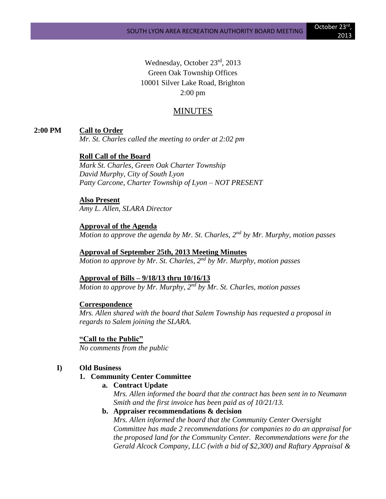Wednesday, October 23rd, 2013 Green Oak Township Offices 10001 Silver Lake Road, Brighton 2:00 pm

# MINUTES

## **2:00 PM Call to Order**

*Mr. St. Charles called the meeting to order at 2:02 pm*

#### **Roll Call of the Board**

*Mark St. Charles, Green Oak Charter Township David Murphy, City of South Lyon Patty Carcone, Charter Township of Lyon – NOT PRESENT*

# **Also Present**

*Amy L. Allen, SLARA Director*

#### **Approval of the Agenda**

*Motion to approve the agenda by Mr. St. Charles, 2nd by Mr. Murphy, motion passes*

## **Approval of September 25th, 2013 Meeting Minutes**

*Motion to approve by Mr. St. Charles, 2nd by Mr. Murphy, motion passes*

#### **Approval of Bills – 9/18/13 thru 10/16/13**

*Motion to approve by Mr. Murphy, 2nd by Mr. St. Charles, motion passes*

#### **Correspondence**

*Mrs. Allen shared with the board that Salem Township has requested a proposal in regards to Salem joining the SLARA.*

**"Call to the Public"** *No comments from the public*

#### **I) Old Business**

#### **1. Community Center Committee**

**a. Contract Update**

*Mrs. Allen informed the board that the contract has been sent in to Neumann Smith and the first invoice has been paid as of 10/21/13.*

#### **b. Appraiser recommendations & decision**

*Mrs. Allen informed the board that the Community Center Oversight Committee has made 2 recommendations for companies to do an appraisal for the proposed land for the Community Center. Recommendations were for the Gerald Alcock Company, LLC (with a bid of \$2,300) and Raftary Appraisal &*